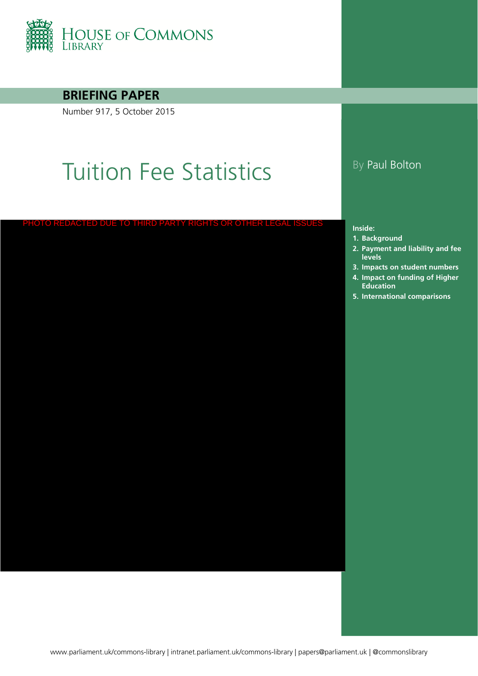

#### **BRIEFING PAPER**

Number 917, 5 October 2015

# Tuition Fee Statistics By Paul Bolton

CTED DUE TO THIRD PARTY RIGHTS OR OTHER LI

#### **Inside:**

- **1. [Background](#page-3-0)**
- **2. Payment and liability and fee levels**
- **3. [Impacts on student numbers](#page-12-0)**
- **4. Impact on funding of Higher Education**
- **5. [International comparisons](#page-17-0)**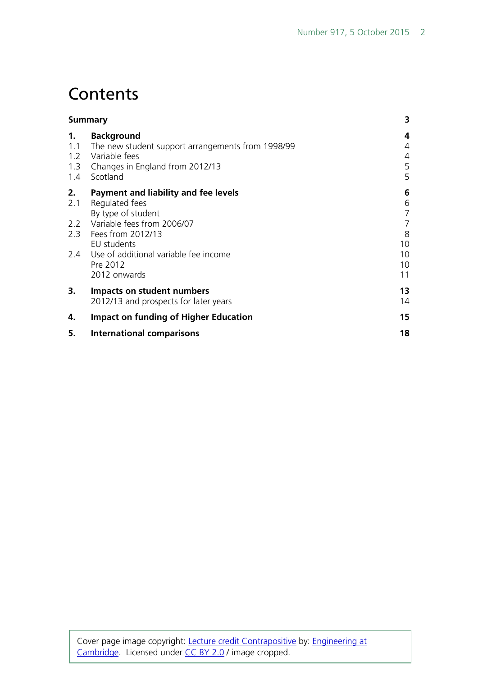## **Contents**

|                         | <b>Summary</b>                                                                                                                                                                                                                  |                                                            |  |  |  |  |
|-------------------------|---------------------------------------------------------------------------------------------------------------------------------------------------------------------------------------------------------------------------------|------------------------------------------------------------|--|--|--|--|
| 1.<br>1.1<br>1.2<br>1.4 | <b>Background</b><br>The new student support arrangements from 1998/99<br>Variable fees<br>1.3 Changes in England from 2012/13<br>Scotland                                                                                      | 4<br>4<br>4<br>5<br>5                                      |  |  |  |  |
| 2.<br>2.1               | Payment and liability and fee levels<br>Regulated fees<br>By type of student<br>2.2 Variable fees from 2006/07<br>2.3 Fees from 2012/13<br>EU students<br>2.4 Use of additional variable fee income<br>Pre 2012<br>2012 onwards | 6<br>6<br>7<br>$\overline{7}$<br>8<br>10<br>10<br>10<br>11 |  |  |  |  |
| 3.                      | Impacts on student numbers<br>2012/13 and prospects for later years                                                                                                                                                             | 13<br>14                                                   |  |  |  |  |
| 4.                      | <b>Impact on funding of Higher Education</b>                                                                                                                                                                                    | 15                                                         |  |  |  |  |
| 5.                      | <b>International comparisons</b>                                                                                                                                                                                                | 18                                                         |  |  |  |  |
|                         |                                                                                                                                                                                                                                 |                                                            |  |  |  |  |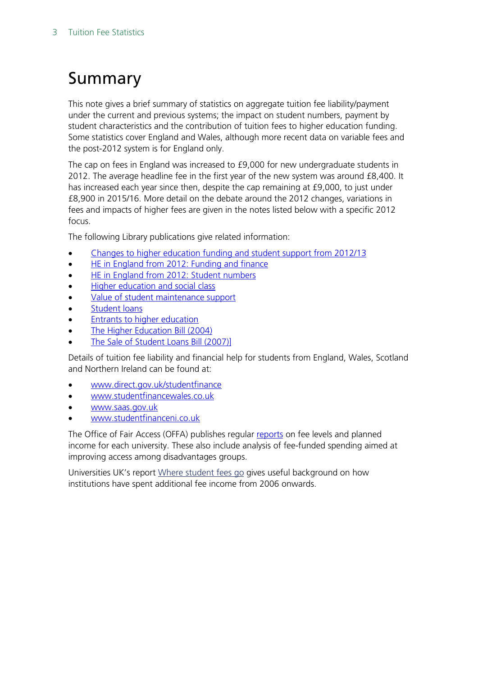## <span id="page-2-0"></span>Summary

This note gives a brief summary of statistics on aggregate tuition fee liability/payment under the current and previous systems; the impact on student numbers, payment by student characteristics and the contribution of tuition fees to higher education funding. Some statistics cover England and Wales, although more recent data on variable fees and the post-2012 system is for England only.

The cap on fees in England was increased to £9,000 for new undergraduate students in 2012. The average headline fee in the first year of the new system was around £8,400. It has increased each year since then, despite the cap remaining at £9,000, to just under £8,900 in 2015/16. More detail on the debate around the 2012 changes, variations in fees and impacts of higher fees are given in the notes listed below with a specific 2012 focus.

The following Library publications give related information:

- [Changes to higher education funding and student support from 2012/13](http://www.parliament.uk/briefing-papers/SN05753)
- [HE in England from 2012: Funding and finance](http://www.parliament.uk/briefing-papers/sn06206)
- **[HE in England from 2012: Student numbers](http://www.parliament.uk/briefing-papers/sn06205)**
- [Higher education and social class](http://www.parliament.uk/briefing-papers/SN00620)
- [Value of student maintenance support](http://www.parliament.uk/briefing-papers/SN00916)
- [Student loans](http://www.parliament.uk/briefing-papers/SN01079)
- [Entrants to higher education](http://www.parliament.uk/briefing-papers/SN01446)
- [The Higher Education Bill \(2004\)](http://www.parliament.uk/briefing-papers/RP04-08)
- [The Sale of Student Loans Bill \(2007\)\]](http://www.parliament.uk/briefing-papers/RP07-78)

Details of tuition fee liability and financial help for students from England, Wales, Scotland and Northern Ireland can be found at:

- [www.direct.gov.uk/studentfinance](http://www.direct.gov.uk/studentfinance)
- [www.studentfinancewales.co.uk](http://www.studentfinancewales.co.uk/)
- [www.saas.gov.uk](http://www.saas.gov.uk/)
- [www.studentfinanceni.co.uk](http://www.studentfinanceni.co.uk/)

The Office of Fair Access (OFFA) publishes regular [reports](https://www.offa.org.uk/publications/analysis-data-and-progress-reports/) on fee levels and planned income for each university. These also include analysis of fee-funded spending aimed at improving access among disadvantages groups.

Universities UK's report [Where student fees go](http://www.universitiesuk.ac.uk/highereducation/Pages/WhereStudentFeesGo.aspx) gives useful background on how institutions have spent additional fee income from 2006 onwards.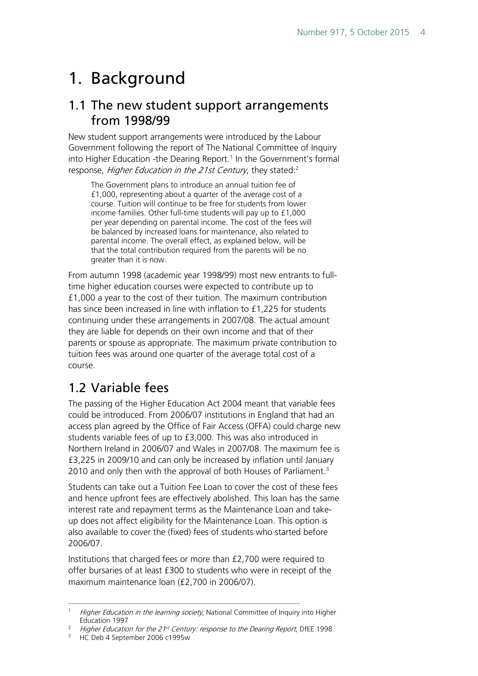## <span id="page-3-0"></span>1. Background

### <span id="page-3-1"></span>1.1 The new student support arrangements from 1998/99

New student support arrangements were introduced by the Labour Government following the report of The National Committee of Inquiry into Higher Education -the Dearing Report.<sup>[1](#page-3-3)</sup> In the Government's formal response, Higher Education in the [2](#page-3-4)1st Century, they stated:<sup>2</sup>

The Government plans to introduce an annual tuition fee of £1,000, representing about a quarter of the average cost of a course. Tuition will continue to be free for students from lower income families. Other full-time students will pay up to £1,000 per year depending on parental income. The cost of the fees will be balanced by increased loans for maintenance, also related to parental income. The overall effect, as explained below, will be that the total contribution required from the parents will be no greater than it is now.

From autumn 1998 (academic year 1998/99) most new entrants to fulltime higher education courses were expected to contribute up to £1,000 a year to the cost of their tuition. The maximum contribution has since been increased in line with inflation to £1,225 for students continuing under these arrangements in 2007/08. The actual amount they are liable for depends on their own income and that of their parents or spouse as appropriate. The maximum private contribution to tuition fees was around one quarter of the average total cost of a course.

### <span id="page-3-2"></span>1.2 Variable fees

The passing of the Higher Education Act 2004 meant that variable fees could be introduced. From 2006/07 institutions in England that had an access plan agreed by the Office of Fair Access (OFFA) could charge new students variable fees of up to £3,000. This was also introduced in Northern Ireland in 2006/07 and Wales in 2007/08. The maximum fee is £3,225 in 2009/10 and can only be increased by inflation until January 2010 and only then with the approval of both Houses of Parliament.<sup>[3](#page-3-5)</sup>

Students can take out a Tuition Fee Loan to cover the cost of these fees and hence upfront fees are effectively abolished. This loan has the same interest rate and repayment terms as the Maintenance Loan and takeup does not affect eligibility for the Maintenance Loan. This option is also available to cover the (fixed) fees of students who started before 2006/07.

Institutions that charged fees or more than £2,700 were required to offer bursaries of at least £300 to students who were in receipt of the maximum maintenance loan (£2,700 in 2006/07).

<span id="page-3-3"></span><sup>&</sup>lt;sup>1</sup> Higher Education in the learning society, National Committee of Inquiry into Higher Education 1997

<span id="page-3-5"></span><span id="page-3-4"></span><sup>&</sup>lt;sup>2</sup> Higher Education for the 21<sup>st</sup> Century: response to the Dearing Report, DfEE 1998.

<sup>&</sup>lt;sup>3</sup> HC Deb 4 September 2006 c1995w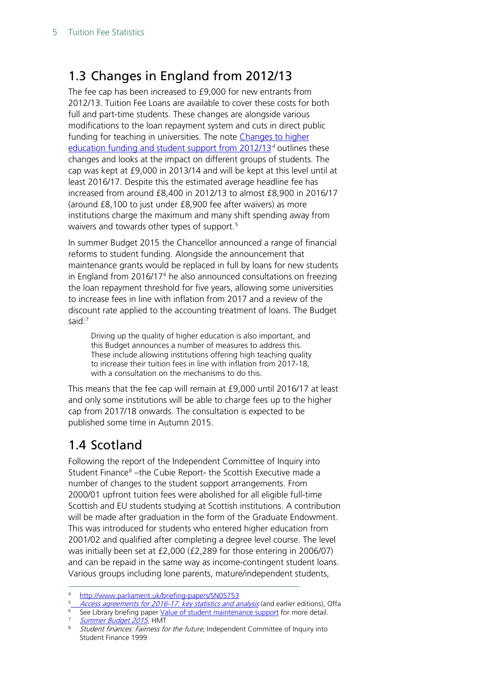## <span id="page-4-0"></span>1.3 Changes in England from 2012/13

The fee cap has been increased to £9,000 for new entrants from 2012/13. Tuition Fee Loans are available to cover these costs for both full and part-time students. These changes are alongside various modifications to the loan repayment system and cuts in direct public funding for teaching in universities. The note [Changes to higher](http://www.parliament.uk/briefingpapers/commons/lib/research/briefings/snsg-05753.pdf)  [education funding and student support from 2012/13](http://www.parliament.uk/briefingpapers/commons/lib/research/briefings/snsg-05753.pdf)<sup>[4](#page-4-2)</sup> outlines these changes and looks at the impact on different groups of students. The cap was kept at £9,000 in 2013/14 and will be kept at this level until at least 2016/17. Despite this the estimated average headline fee has increased from around £8,400 in 2012/13 to almost £8,900 in 2016/17 (around £8,100 to just under £8,900 fee after waivers) as more institutions charge the maximum and many shift spending away from waivers and towards other types of support. [5](#page-4-3)

In summer Budget 2015 the Chancellor announced a range of financial reforms to student funding. Alongside the announcement that maintenance grants would be replaced in full by loans for new students in England from  $2016/17<sup>6</sup>$  $2016/17<sup>6</sup>$  $2016/17<sup>6</sup>$  he also announced consultations on freezing the loan repayment threshold for five years, allowing some universities to increase fees in line with inflation from 2017 and a review of the discount rate applied to the accounting treatment of loans. The Budget said:<sup>[7](#page-4-5)</sup>

Driving up the quality of higher education is also important, and this Budget announces a number of measures to address this. These include allowing institutions offering high teaching quality to increase their tuition fees in line with inflation from 2017-18, with a consultation on the mechanisms to do this.

This means that the fee cap will remain at £9,000 until 2016/17 at least and only some institutions will be able to charge fees up to the higher cap from 2017/18 onwards. The consultation is expected to be published some time in Autumn 2015.

### <span id="page-4-1"></span>1.4 Scotland

Following the report of the Independent Committee of Inquiry into Student Finance<sup>[8](#page-4-6)</sup> –the Cubie Report- the Scottish Executive made a number of changes to the student support arrangements. From 2000/01 upfront tuition fees were abolished for all eligible full-time Scottish and EU students studying at Scottish institutions. A contribution will be made after graduation in the form of the Graduate Endowment. This was introduced for students who entered higher education from 2001/02 and qualified after completing a degree level course. The level was initially been set at £2,000 (£2,289 for those entering in 2006/07) and can be repaid in the same way as income-contingent student loans. Various groups including lone parents, mature/independent students,

<span id="page-4-2"></span><http://www.parliament.uk/briefing-papers/SN05753>

<span id="page-4-3"></span>[Access agreements for 2016-17: key statistics and analysis](https://www.offa.org.uk/wp-content/uploads/2015/07/Access-agreements-for-2016-17-key-statistics-and-analysis.pdf) (and earlier editions), Offa

<span id="page-4-4"></span> $6$  See Library briefing paper [Value of student maintenance support](http://www.parliament.uk/briefing-papers/SN00916) for more detail.

[Summer Budget 2015](https://www.gov.uk/government/publications/summer-budget-2015), HMT

<span id="page-4-6"></span><span id="page-4-5"></span><sup>&</sup>lt;sup>8</sup> Student finances: Fairness for the future, Independent Committee of Inquiry into Student Finance 1999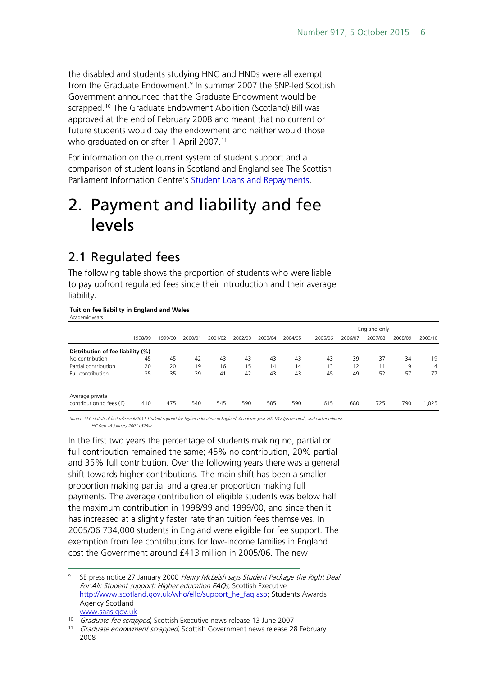the disabled and students studying HNC and HNDs were all exempt from the Graduate Endowment.<sup>[9](#page-5-2)</sup> In summer 2007 the SNP-led Scottish Government announced that the Graduate Endowment would be scrapped.<sup>[10](#page-5-3)</sup> The Graduate Endowment Abolition (Scotland) Bill was approved at the end of February 2008 and meant that no current or future students would pay the endowment and neither would those who graduated on or after 1 April 2007.<sup>[11](#page-5-4)</sup>

For information on the current system of student support and a comparison of student loans in Scotland and England see The Scottish Parliament Information Centre's [Student Loans and Repayments](http://www.scottish.parliament.uk/ResearchBriefingsAndFactsheets/S4/SB_13-78.pdf).

## <span id="page-5-0"></span>2. Payment and liability and fee levels

### <span id="page-5-1"></span>2.1 Regulated fees

The following table shows the proportion of students who were liable to pay upfront regulated fees since their introduction and their average liability.

#### **Tuition fee liability in England and Wales** Academic years

|                                             |         |         |         |         |         |         |         | England only |         |         |         |         |  |
|---------------------------------------------|---------|---------|---------|---------|---------|---------|---------|--------------|---------|---------|---------|---------|--|
|                                             | 1998/99 | 1999/00 | 2000/01 | 2001/02 | 2002/03 | 2003/04 | 2004/05 | 2005/06      | 2006/07 | 2007/08 | 2008/09 | 2009/10 |  |
| Distribution of fee liability (%)           |         |         |         |         |         |         |         |              |         |         |         |         |  |
| No contribution                             | 45      | 45      | 42      | 43      | 43      | 43      | 43      | 43           | 39      | 37      | 34      | 19      |  |
| Partial contribution                        | 20      | 20      | 19      | 16      | 15      | 14      | 14      | 13           | 12      | 11      | 9       | 4       |  |
| Full contribution                           | 35      | 35      | 39      | 41      | 42      | 43      | 43      | 45           | 49      | 52      | 57      | 77      |  |
| Average private<br>contribution to fees (£) | 410     | 475     | 540     | 545     | 590     | 585     | 590     | 615          | 680     | 725     | 790     | 1.025   |  |

Source: SLC statistical first release 6/2011 Student support for higher education in England, Academic year 2011/12 (provisional), and earlier editions HC Deb 18 January 2001 c329w

In the first two years the percentage of students making no, partial or full contribution remained the same; 45% no contribution, 20% partial and 35% full contribution. Over the following years there was a general shift towards higher contributions. The main shift has been a smaller proportion making partial and a greater proportion making full payments. The average contribution of eligible students was below half the maximum contribution in 1998/99 and 1999/00, and since then it has increased at a slightly faster rate than tuition fees themselves. In 2005/06 734,000 students in England were eligible for fee support. The exemption from fee contributions for low-income families in England cost the Government around £413 million in 2005/06. The new

<span id="page-5-2"></span>SE press notice 27 January 2000 Henry McLeish says Student Package the Right Deal For All; Student support: Higher education FAQs, Scottish Executive [http://www.scotland.gov.uk/who/elld/support\\_he\\_faq.asp;](http://www.scotland.gov.uk/who/elld/support_he_faq.asp) Students Awards Agency Scotland www.saas.gov.uk

<sup>&</sup>lt;sup>10</sup> Graduate fee scrapped, Scottish Executive news release 13 June 2007

<span id="page-5-4"></span><span id="page-5-3"></span><sup>&</sup>lt;sup>11</sup> Graduate endowment scrapped, Scottish Government news release 28 February 2008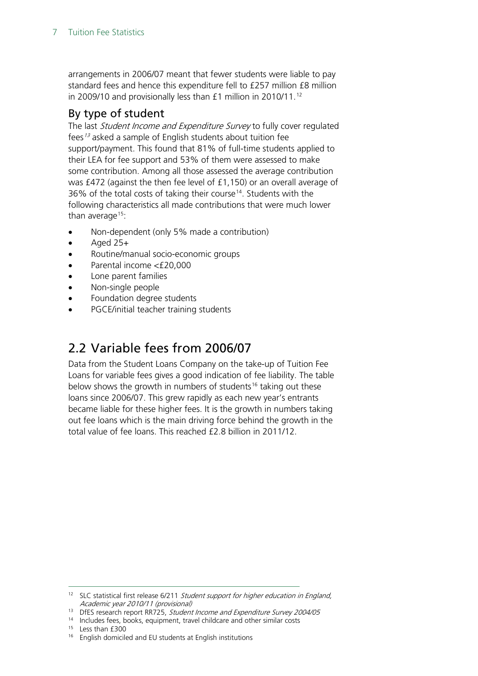arrangements in 2006/07 meant that fewer students were liable to pay standard fees and hence this expenditure fell to £257 million £8 million in 2009/10 and provisionally less than £1 million in 2010/11.<sup>[12](#page-6-2)</sup>

#### <span id="page-6-0"></span>By type of student

The last Student Income and Expenditure Survey to fully cover regulated fees<sup>[13](#page-6-3)</sup> asked a sample of English students about tuition fee support/payment. This found that 81% of full-time students applied to their LEA for fee support and 53% of them were assessed to make some contribution. Among all those assessed the average contribution was £472 (against the then fee level of £1,150) or an overall average of 36% of the total costs of taking their course<sup>[14](#page-6-4)</sup>. Students with the following characteristics all made contributions that were much lower than average $15$ :

- Non-dependent (only 5% made a contribution)
- Aged  $25+$
- Routine/manual socio-economic groups
- Parental income <£20,000
- Lone parent families
- Non-single people
- Foundation degree students
- PGCE/initial teacher training students

### <span id="page-6-1"></span>2.2 Variable fees from 2006/07

Data from the Student Loans Company on the take-up of Tuition Fee Loans for variable fees gives a good indication of fee liability. The table below shows the growth in numbers of students<sup>[16](#page-6-6)</sup> taking out these loans since 2006/07. This grew rapidly as each new year's entrants became liable for these higher fees. It is the growth in numbers taking out fee loans which is the main driving force behind the growth in the total value of fee loans. This reached £2.8 billion in 2011/12.

<span id="page-6-2"></span><sup>&</sup>lt;sup>12</sup> SLC statistical first release 6/211 Student support for higher education in England, Academic year 2010/11 (provisional)

<span id="page-6-3"></span><sup>&</sup>lt;sup>13</sup> DfES research report RR725, Student Income and Expenditure Survey 2004/05

<sup>&</sup>lt;sup>14</sup> Includes fees, books, equipment, travel childcare and other similar costs

<span id="page-6-5"></span><span id="page-6-4"></span><sup>&</sup>lt;sup>15</sup> Less than £300

<span id="page-6-6"></span><sup>&</sup>lt;sup>16</sup> English domiciled and EU students at English institutions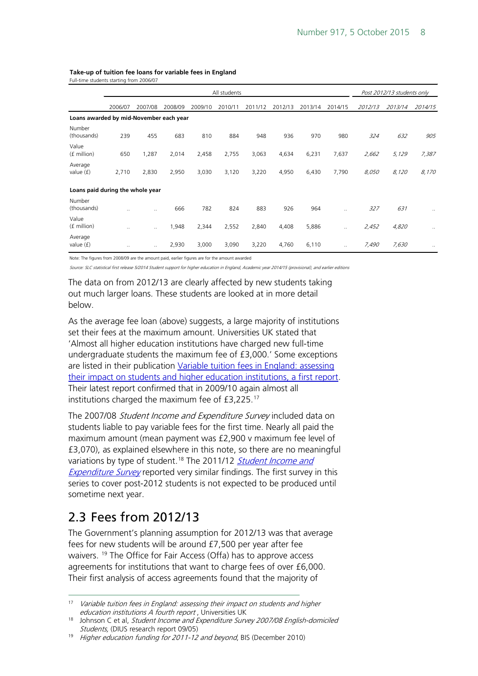| Full-time students starting from 2006/07 |           |           |         |                            |         |         |         |         |                      |         |         |                      |
|------------------------------------------|-----------|-----------|---------|----------------------------|---------|---------|---------|---------|----------------------|---------|---------|----------------------|
|                                          |           |           |         | Post 2012/13 students only |         |         |         |         |                      |         |         |                      |
|                                          | 2006/07   | 2007/08   | 2008/09 | 2009/10                    | 2010/11 | 2011/12 | 2012/13 | 2013/14 | 2014/15              | 2012/13 | 2013/14 | 2014/15              |
| Loans awarded by mid-November each year  |           |           |         |                            |         |         |         |         |                      |         |         |                      |
| Number<br>(thousands)                    | 239       | 455       | 683     | 810                        | 884     | 948     | 936     | 970     | 980                  | 324     | 632     | 905                  |
| Value<br>(f million)                     | 650       | 1,287     | 2,014   | 2,458                      | 2,755   | 3,063   | 4,634   | 6,231   | 7,637                | 2,662   | 5,129   | 7,387                |
| Average<br>value $(f)$                   | 2,710     | 2,830     | 2,950   | 3,030                      | 3,120   | 3,220   | 4,950   | 6,430   | 7,790                | 8,050   | 8,120   | 8,170                |
| Loans paid during the whole year         |           |           |         |                            |         |         |         |         |                      |         |         |                      |
| Number<br>(thousands)                    |           | $\cdot$ . | 666     | 782                        | 824     | 883     | 926     | 964     | $\ddot{\phantom{a}}$ | 327     | 631     | $\ddot{\phantom{a}}$ |
| Value<br>(f million)                     | $\ddotsc$ | $\ddotsc$ | 1,948   | 2,344                      | 2,552   | 2,840   | 4,408   | 5,886   | $\cdot$              | 2,452   | 4,820   | $\cdot$ .            |
| Average<br>value $(f)$                   | $\ddotsc$ | $\ddotsc$ | 2,930   | 3,000                      | 3,090   | 3,220   | 4,760   | 6,110   | $\cdot$ .            | 7,490   | 7,630   | $\cdot$ .            |

#### **Take-up of tuition fee loans for variable fees in England**

Note: The figures from 2008/09 are the amount paid, earlier figures are for the amount awarded

Source: SLC statistical first release 5/2014 Student support for higher education in England, Academic year 2014/15 (provisional), and earlier editions

The data on from 2012/13 are clearly affected by new students taking out much larger loans. These students are looked at in more detail below.

As the average fee loan (above) suggests, a large majority of institutions set their fees at the maximum amount. Universities UK stated that 'Almost all higher education institutions have charged new full-time undergraduate students the maximum fee of £3,000.' Some exceptions are listed in their publication [Variable tuition fees in England: assessing](http://bookshop.universitiesuk.ac.uk/downloads/variable%20fees.pdf%23page=25)  [their impact on students and higher education institutions, a first report](http://bookshop.universitiesuk.ac.uk/downloads/variable%20fees.pdf%23page=25). Their latest report confirmed that in 2009/10 again almost all institutions charged the maximum fee of £3,225.[17](#page-7-1)

The 2007/08 Student Income and Expenditure Survey included data on students liable to pay variable fees for the first time. Nearly all paid the maximum amount (mean payment was £2,900 v maximum fee level of £3,070), as explained elsewhere in this note, so there are no meaningful variations by type of student.<sup>[18](#page-7-2)</sup> The 2011/12 *Student Income and* [Expenditure Survey](https://www.gov.uk/government/uploads/system/uploads/attachment_data/file/301467/bis-14-723-student-income-expenditure-survey-2011-12.pdf) reported very similar findings. The first survey in this series to cover post-2012 students is not expected to be produced until sometime next year.

### <span id="page-7-0"></span>2.3 Fees from 2012/13

The Government's planning assumption for 2012/13 was that average fees for new students will be around £7,500 per year after fee waivers. [19](#page-7-3) The Office for Fair Access (Offa) has to approve access agreements for institutions that want to charge fees of over £6,000. Their first analysis of access agreements found that the majority of

<span id="page-7-1"></span><sup>&</sup>lt;sup>17</sup> Variable tuition fees in England: assessing their impact on students and higher education institutions A fourth report, Universities UK

<span id="page-7-2"></span><sup>&</sup>lt;sup>18</sup> Johnson C et al, Student Income and Expenditure Survey 2007/08 English-domiciled Students, (DIUS research report 09/05)

<span id="page-7-3"></span><sup>&</sup>lt;sup>19</sup> Higher education funding for 2011-12 and beyond, BIS (December 2010)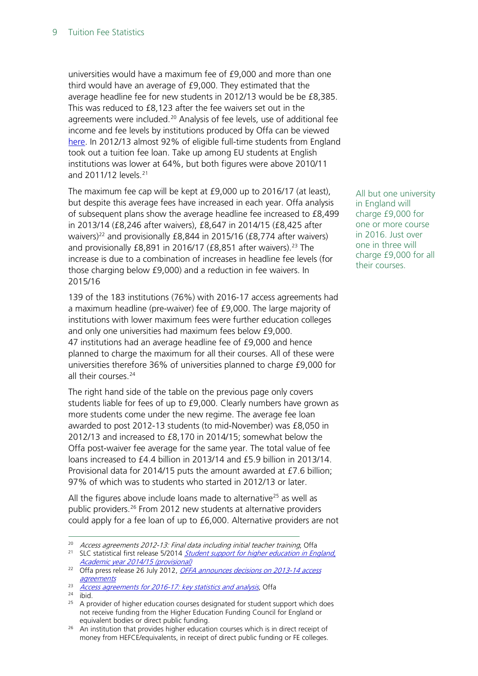universities would have a maximum fee of £9,000 and more than one third would have an average of £9,000. They estimated that the average headline fee for new students in 2012/13 would be be £8,385. This was reduced to £8,123 after the fee waivers set out in the agreements were included.<sup>[20](#page-8-0)</sup> Analysis of fee levels, use of additional fee income and fee levels by institutions produced by Offa can be viewed [here.](https://www.offa.org.uk/publications/analysis-data-and-progress-reports/) In 2012/13 almost 92% of eligible full-time students from England took out a tuition fee loan. Take up among EU students at English institutions was lower at 64%, but both figures were above 2010/11 and 2011/12 levels.[21](#page-8-1)

The maximum fee cap will be kept at £9,000 up to 2016/17 (at least), but despite this average fees have increased in each year. Offa analysis of subsequent plans show the average headline fee increased to £8,499 in 2013/14 (£8,246 after waivers), £8,647 in 2014/15 (£8,425 after waivers)<sup>22</sup> and provisionally  $E8,844$  in 2015/16 ( $E8,774$  after waivers) and provisionally £8,891 in 2016/17 (£8,851 after waivers). [23](#page-8-3) The increase is due to a combination of increases in headline fee levels (for those charging below £9,000) and a reduction in fee waivers. In 2015/16

139 of the 183 institutions (76%) with 2016-17 access agreements had a maximum headline (pre-waiver) fee of £9,000. The large majority of institutions with lower maximum fees were further education colleges and only one universities had maximum fees below £9,000. 47 institutions had an average headline fee of £9,000 and hence planned to charge the maximum for all their courses. All of these were universities therefore 36% of universities planned to charge £9,000 for all their courses.<sup>[24](#page-8-4)</sup>

The right hand side of the table on the previous page only covers students liable for fees of up to £9,000. Clearly numbers have grown as more students come under the new regime. The average fee loan awarded to post 2012-13 students (to mid-November) was £8,050 in 2012/13 and increased to £8,170 in 2014/15; somewhat below the Offa post-waiver fee average for the same year. The total value of fee loans increased to £4.4 billion in 2013/14 and £5.9 billion in 2013/14. Provisional data for 2014/15 puts the amount awarded at £7.6 billion; 97% of which was to students who started in 2012/13 or later.

All the figures above include loans made to alternative<sup>[25](#page-8-5)</sup> as well as public providers.[26](#page-8-6) From 2012 new students at alternative providers could apply for a fee loan of up to £6,000. Alternative providers are not All but one university in England will charge £9,000 for one or more course in 2016. Just over one in three will charge £9,000 for all their courses.

<span id="page-8-0"></span><sup>&</sup>lt;sup>20</sup> Access agreements 2012-13: Final data including initial teacher training, Offa

<span id="page-8-1"></span><sup>&</sup>lt;sup>21</sup> SLC statistical first release 5/2014 Student support for higher education in England, [Academic year 2014/15 \(provisional\)](http://www.slc.co.uk/media/855703/slcsfr052014.pdf)

<span id="page-8-2"></span><sup>&</sup>lt;sup>22</sup> Offa press release 26 July 2012, *OFFA announces decisions on 2013-14 access* [agreements](http://www.offa.org.uk/press-releases/offa-announces-decisions-on-2013-14-access-agreements/)

<span id="page-8-3"></span><sup>&</sup>lt;sup>23</sup> [Access agreements for 2016-17: key statistics and analysis](https://www.offa.org.uk/wp-content/uploads/2015/07/Access-agreements-for-2016-17-key-statistics-and-analysis.pdf), Offa

<sup>24</sup> ibid.

<span id="page-8-5"></span><span id="page-8-4"></span><sup>&</sup>lt;sup>25</sup> A provider of higher education courses designated for student support which does not receive funding from the Higher Education Funding Council for England or equivalent bodies or direct public funding.

<span id="page-8-6"></span><sup>&</sup>lt;sup>26</sup> An institution that provides higher education courses which is in direct receipt of money from HEFCE/equivalents, in receipt of direct public funding or FE colleges.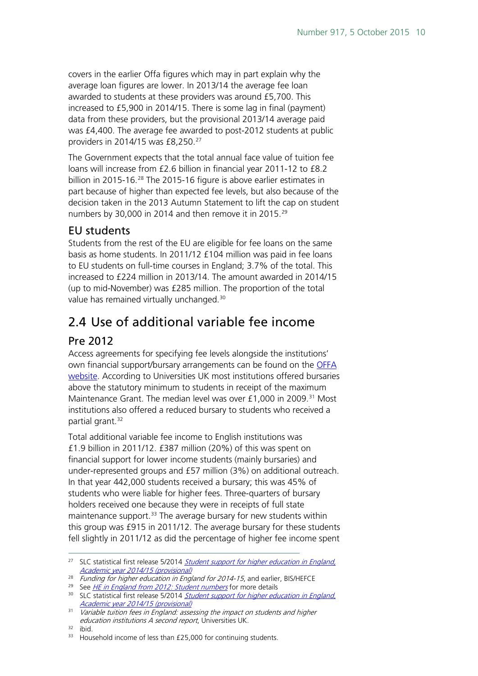covers in the earlier Offa figures which may in part explain why the average loan figures are lower. In 2013/14 the average fee loan awarded to students at these providers was around £5,700. This increased to £5,900 in 2014/15. There is some lag in final (payment) data from these providers, but the provisional 2013/14 average paid was £4,400. The average fee awarded to post-2012 students at public providers in 2014/15 was £8,250.<sup>[27](#page-9-3)</sup>

The Government expects that the total annual face value of tuition fee loans will increase from £2.6 billion in financial year 2011-12 to £8.2 billion in 2015-16.<sup>[28](#page-9-4)</sup> The 2015-16 figure is above earlier estimates in part because of higher than expected fee levels, but also because of the decision taken in the 2013 Autumn Statement to lift the cap on student numbers by 30,000 in 2014 and then remove it in 2015.<sup>[29](#page-9-5)</sup>

### <span id="page-9-0"></span>EU students

Students from the rest of the EU are eligible for fee loans on the same basis as home students. In 2011/12 £104 million was paid in fee loans to EU students on full-time courses in England; 3.7% of the total. This increased to £224 million in 2013/14. The amount awarded in 2014/15 (up to mid-November) was £285 million. The proportion of the total value has remained virtually unchanged.[30](#page-9-6)

## <span id="page-9-1"></span>2.4 Use of additional variable fee income

### <span id="page-9-2"></span>Pre 2012

Access agreements for specifying fee levels alongside the institutions' own financial support/bursary arrangements can be found on the [OFFA](http://www.offa.org.uk/access-agreements/)  [website.](http://www.offa.org.uk/access-agreements/) According to Universities UK most institutions offered bursaries above the statutory minimum to students in receipt of the maximum Maintenance Grant. The median level was over  $£1,000$  in 2009.<sup>[31](#page-9-7)</sup> Most institutions also offered a reduced bursary to students who received a partial grant.<sup>[32](#page-9-8)</sup>

Total additional variable fee income to English institutions was £1.9 billion in 2011/12. £387 million (20%) of this was spent on financial support for lower income students (mainly bursaries) and under-represented groups and £57 million (3%) on additional outreach. In that year 442,000 students received a bursary; this was 45% of students who were liable for higher fees. Three-quarters of bursary holders received one because they were in receipts of full state maintenance support.<sup>[33](#page-9-9)</sup> The average bursary for new students within this group was £915 in 2011/12. The average bursary for these students fell slightly in 2011/12 as did the percentage of higher fee income spent

<span id="page-9-3"></span><sup>&</sup>lt;sup>27</sup> SLC statistical first release 5/2014 *Student support for higher education in England*, [Academic year 2014/15 \(provisional\)](http://www.slc.co.uk/media/855703/slcsfr052014.pdf)

 $28$  Funding for higher education in England for 2014-15, and earlier, BIS/HEFCE

<span id="page-9-6"></span><span id="page-9-5"></span><span id="page-9-4"></span><sup>&</sup>lt;sup>29</sup> See *[HE in England from 2012: Student numbers](http://www.parliament.uk/briefing-papers/sn06205)* for more details

<sup>&</sup>lt;sup>30</sup> SLC statistical first release 5/2014 Student support for higher education in England, [Academic year 2014/15 \(provisional\)](http://www.slc.co.uk/media/855703/slcsfr052014.pdf)

<span id="page-9-7"></span><sup>&</sup>lt;sup>31</sup> Variable tuition fees in England: assessing the impact on students and higher education institutions A second report, Universities UK.

<span id="page-9-8"></span><sup>32</sup> ibid.

<span id="page-9-9"></span><sup>&</sup>lt;sup>33</sup> Household income of less than £25,000 for continuing students.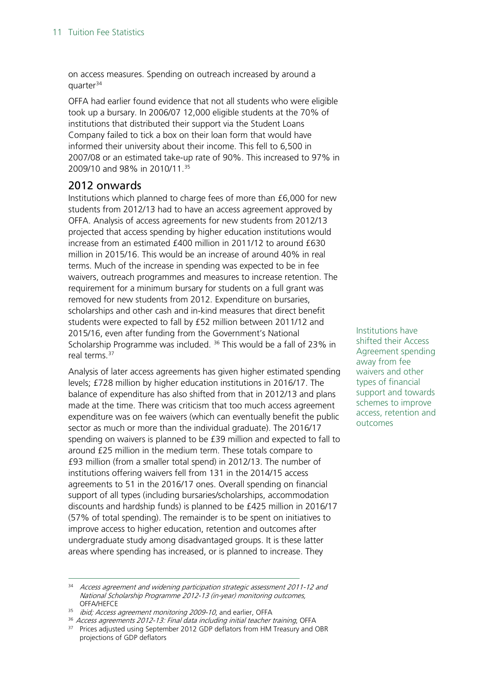on access measures. Spending on outreach increased by around a quarter $34$ 

OFFA had earlier found evidence that not all students who were eligible took up a bursary. In 2006/07 12,000 eligible students at the 70% of institutions that distributed their support via the Student Loans Company failed to tick a box on their loan form that would have informed their university about their income. This fell to 6,500 in 2007/08 or an estimated take-up rate of 90%. This increased to 97% in 2009/10 and 98% in 2010/11.<sup>[35](#page-10-2)</sup>

#### <span id="page-10-0"></span>2012 onwards

Institutions which planned to charge fees of more than £6,000 for new students from 2012/13 had to have an access agreement approved by OFFA. Analysis of access agreements for new students from 2012/13 projected that access spending by higher education institutions would increase from an estimated £400 million in 2011/12 to around £630 million in 2015/16. This would be an increase of around 40% in real terms. Much of the increase in spending was expected to be in fee waivers, outreach programmes and measures to increase retention. The requirement for a minimum bursary for students on a full grant was removed for new students from 2012. Expenditure on bursaries, scholarships and other cash and in-kind measures that direct benefit students were expected to fall by £52 million between 2011/12 and 2015/16, even after funding from the Government's National Scholarship Programme was included.  $36$  This would be a fall of 23% in real terms.<sup>[37](#page-10-4)</sup>

Analysis of later access agreements has given higher estimated spending levels; £728 million by higher education institutions in 2016/17. The balance of expenditure has also shifted from that in 2012/13 and plans made at the time. There was criticism that too much access agreement expenditure was on fee waivers (which can eventually benefit the public sector as much or more than the individual graduate). The 2016/17 spending on waivers is planned to be £39 million and expected to fall to around £25 million in the medium term. These totals compare to £93 million (from a smaller total spend) in 2012/13. The number of institutions offering waivers fell from 131 in the 2014/15 access agreements to 51 in the 2016/17 ones. Overall spending on financial support of all types (including bursaries/scholarships, accommodation discounts and hardship funds) is planned to be £425 million in 2016/17 (57% of total spending). The remainder is to be spent on initiatives to improve access to higher education, retention and outcomes after undergraduate study among disadvantaged groups. It is these latter areas where spending has increased, or is planned to increase. They

Institutions have shifted their Access Agreement spending away from fee waivers and other types of financial support and towards schemes to improve access, retention and outcomes

<span id="page-10-1"></span><sup>34</sup> Access agreement and widening participation strategic assessment 2011-12 and National Scholarship Programme 2012-13 (in-year) monitoring outcomes, OFFA/HEFCE

<span id="page-10-2"></span><sup>&</sup>lt;sup>35</sup> *ibid; Access agreement monitoring 2009-10*, and earlier, OFFA

<sup>&</sup>lt;sup>36</sup> Access agreements 2012-13: Final data including initial teacher training, OFFA

<span id="page-10-4"></span><span id="page-10-3"></span><sup>&</sup>lt;sup>37</sup> Prices adjusted using September 2012 GDP deflators from HM Treasury and OBR projections of GDP deflators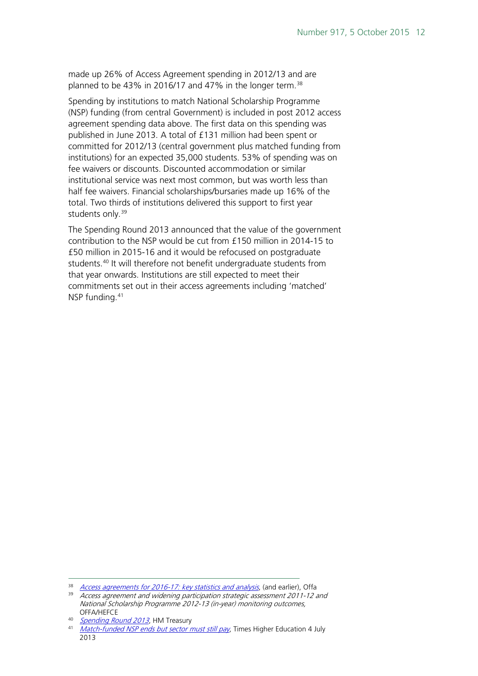made up 26% of Access Agreement spending in 2012/13 and are planned to be 43% in 2016/17 and 47% in the longer term.<sup>[38](#page-11-0)</sup>

Spending by institutions to match National Scholarship Programme (NSP) funding (from central Government) is included in post 2012 access agreement spending data above. The first data on this spending was published in June 2013. A total of £131 million had been spent or committed for 2012/13 (central government plus matched funding from institutions) for an expected 35,000 students. 53% of spending was on fee waivers or discounts. Discounted accommodation or similar institutional service was next most common, but was worth less than half fee waivers. Financial scholarships/bursaries made up 16% of the total. Two thirds of institutions delivered this support to first year students only.<sup>[39](#page-11-1)</sup>

The Spending Round 2013 announced that the value of the government contribution to the NSP would be cut from £150 million in 2014-15 to £50 million in 2015-16 and it would be refocused on postgraduate students.<sup>[40](#page-11-2)</sup> It will therefore not benefit undergraduate students from that year onwards. Institutions are still expected to meet their commitments set out in their access agreements including 'matched' NSP funding.<sup>[41](#page-11-3)</sup>

<span id="page-11-1"></span><span id="page-11-0"></span><sup>&</sup>lt;sup>38</sup> [Access agreements for 2016-17: key statistics and analysis](https://www.offa.org.uk/wp-content/uploads/2015/07/Access-agreements-for-2016-17-key-statistics-and-analysis.pdf), (and earlier), Offa

<sup>&</sup>lt;sup>39</sup> Access agreement and widening participation strategic assessment 2011-12 and National Scholarship Programme 2012-13 (in-year) monitoring outcomes, OFFA/HEFCE

<span id="page-11-2"></span><sup>40</sup> [Spending Round 2013](https://www.gov.uk/government/uploads/system/uploads/attachment_data/file/209036/spending-round-2013-complete.pdf), HM Treasury

<span id="page-11-3"></span><sup>41</sup> *[Match-funded NSP ends but sector must still pay](http://www.timeshighereducation.co.uk/news/match-funded-nsp-ends-but-sector-must-still-pay/2005397.article)*, Times Higher Education 4 July 2013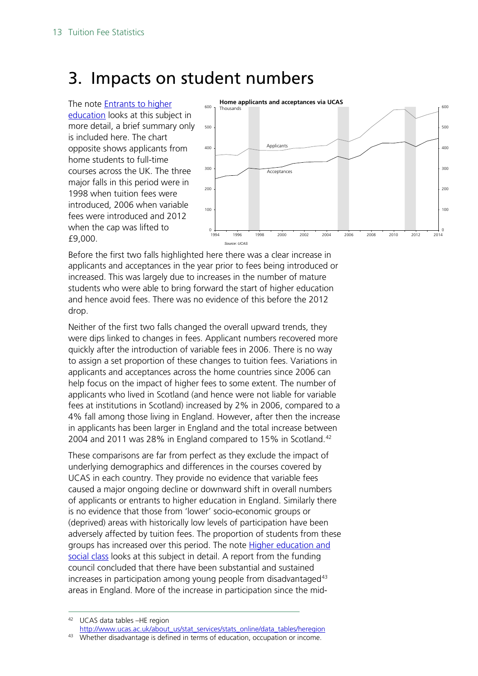## <span id="page-12-0"></span>3. Impacts on student numbers

The note [Entrants to higher](http://www.parliament.uk/briefing-papers/SN01446)  [education](http://www.parliament.uk/briefing-papers/SN01446) looks at this subject in more detail, a brief summary only is included here. The chart opposite shows applicants from home students to full-time courses across the UK. The three major falls in this period were in 1998 when tuition fees were introduced, 2006 when variable fees were introduced and 2012 when the cap was lifted to £9,000.



Before the first two falls highlighted here there was a clear increase in applicants and acceptances in the year prior to fees being introduced or increased. This was largely due to increases in the number of mature students who were able to bring forward the start of higher education and hence avoid fees. There was no evidence of this before the 2012 drop.

Neither of the first two falls changed the overall upward trends, they were dips linked to changes in fees. Applicant numbers recovered more quickly after the introduction of variable fees in 2006. There is no way to assign a set proportion of these changes to tuition fees. Variations in applicants and acceptances across the home countries since 2006 can help focus on the impact of higher fees to some extent. The number of applicants who lived in Scotland (and hence were not liable for variable fees at institutions in Scotland) increased by 2% in 2006, compared to a 4% fall among those living in England. However, after then the increase in applicants has been larger in England and the total increase between 2004 and 2011 was 28% in England compared to 15% in Scotland.<sup>[42](#page-12-1)</sup>

These comparisons are far from perfect as they exclude the impact of underlying demographics and differences in the courses covered by UCAS in each country. They provide no evidence that variable fees caused a major ongoing decline or downward shift in overall numbers of applicants or entrants to higher education in England. Similarly there is no evidence that those from 'lower' socio-economic groups or (deprived) areas with historically low levels of participation have been adversely affected by tuition fees. The proportion of students from these groups has increased over this period. The note **Higher education and** [social class](http://www.parliament.uk/commons/lib/research/briefings/snsg-00620.pdf) looks at this subject in detail. A report from the funding council concluded that there have been substantial and sustained increases in participation among young people from disadvantaged $43$ areas in England. More of the increase in participation since the mid-

<span id="page-12-1"></span> <sup>42</sup> UCAS data tables –HE region

[http://www.ucas.ac.uk/about\\_us/stat\\_services/stats\\_online/data\\_tables/heregion](http://www.ucas.ac.uk/about_us/stat_services/stats_online/data_tables/heregion)

<span id="page-12-2"></span><sup>&</sup>lt;sup>43</sup> Whether disadvantage is defined in terms of education, occupation or income.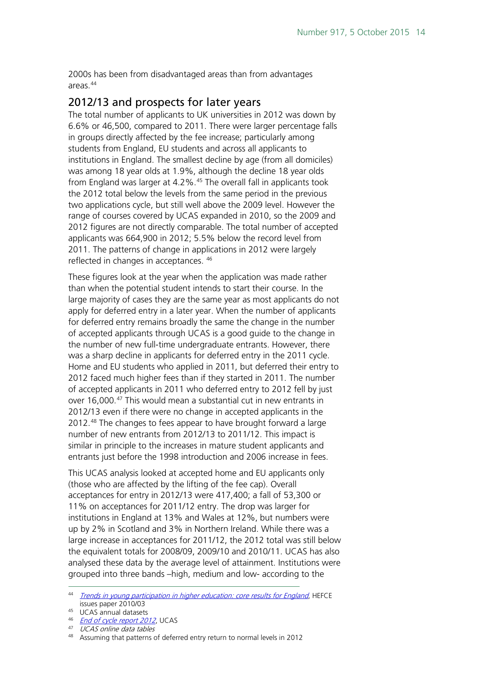2000s has been from disadvantaged areas than from advantages areas.[44](#page-13-1)

#### <span id="page-13-0"></span>2012/13 and prospects for later years

The total number of applicants to UK universities in 2012 was down by 6.6% or 46,500, compared to 2011. There were larger percentage falls in groups directly affected by the fee increase; particularly among students from England, EU students and across all applicants to institutions in England. The smallest decline by age (from all domiciles) was among 18 year olds at 1.9%, although the decline 18 year olds from England was larger at 4.2%.<sup>[45](#page-13-2)</sup> The overall fall in applicants took the 2012 total below the levels from the same period in the previous two applications cycle, but still well above the 2009 level. However the range of courses covered by UCAS expanded in 2010, so the 2009 and 2012 figures are not directly comparable. The total number of accepted applicants was 664,900 in 2012; 5.5% below the record level from 2011. The patterns of change in applications in 2012 were largely reflected in changes in acceptances. [46](#page-13-3)

These figures look at the year when the application was made rather than when the potential student intends to start their course. In the large majority of cases they are the same year as most applicants do not apply for deferred entry in a later year. When the number of applicants for deferred entry remains broadly the same the change in the number of accepted applicants through UCAS is a good guide to the change in the number of new full-time undergraduate entrants. However, there was a sharp decline in applicants for deferred entry in the 2011 cycle. Home and EU students who applied in 2011, but deferred their entry to 2012 faced much higher fees than if they started in 2011. The number of accepted applicants in 2011 who deferred entry to 2012 fell by just over 16,000.[47](#page-13-4) This would mean a substantial cut in new entrants in 2012/13 even if there were no change in accepted applicants in the 2012.[48](#page-13-5) The changes to fees appear to have brought forward a large number of new entrants from 2012/13 to 2011/12. This impact is similar in principle to the increases in mature student applicants and entrants just before the 1998 introduction and 2006 increase in fees.

This UCAS analysis looked at accepted home and EU applicants only (those who are affected by the lifting of the fee cap). Overall acceptances for entry in 2012/13 were 417,400; a fall of 53,300 or 11% on acceptances for 2011/12 entry. The drop was larger for institutions in England at 13% and Wales at 12%, but numbers were up by 2% in Scotland and 3% in Northern Ireland. While there was a large increase in acceptances for 2011/12, the 2012 total was still below the equivalent totals for 2008/09, 2009/10 and 2010/11. UCAS has also analysed these data by the average level of attainment. Institutions were grouped into three bands –high, medium and low- according to the

<span id="page-13-1"></span><sup>44</sup> [Trends in young participation in higher education: core results for England](http://www.hefce.ac.uk/pubs/hefce/2010/10_03/10_03.pdf), HEFCE issues paper 2010/03

<span id="page-13-2"></span><sup>45</sup> UCAS annual datasets

<sup>46</sup> *[End of cycle report 2012](http://www.ucas.com/documents/End_of_Cycle_Report_12_12_2012.pdf)*, UCAS

<span id="page-13-4"></span><span id="page-13-3"></span><sup>47</sup> UCAS online data tables

<span id="page-13-5"></span><sup>48</sup> Assuming that patterns of deferred entry return to normal levels in 2012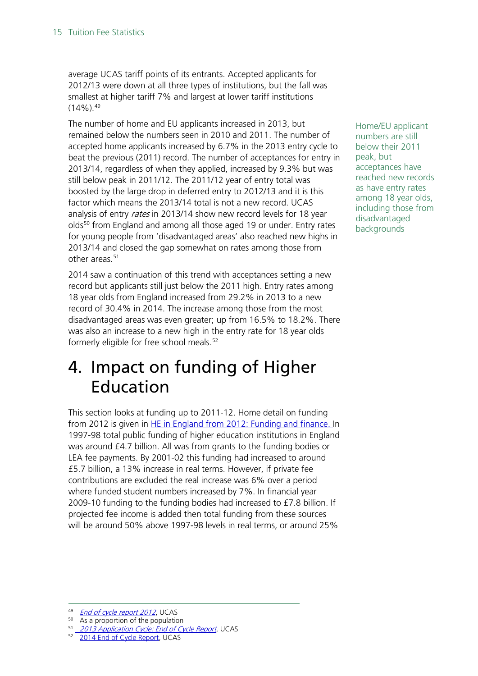average UCAS tariff points of its entrants. Accepted applicants for 2012/13 were down at all three types of institutions, but the fall was smallest at higher tariff 7% and largest at lower tariff institutions  $(14\%)$ .  $49$ 

The number of home and EU applicants increased in 2013, but remained below the numbers seen in 2010 and 2011. The number of accepted home applicants increased by 6.7% in the 2013 entry cycle to beat the previous (2011) record. The number of acceptances for entry in 2013/14, regardless of when they applied, increased by 9.3% but was still below peak in 2011/12. The 2011/12 year of entry total was boosted by the large drop in deferred entry to 2012/13 and it is this factor which means the 2013/14 total is not a new record. UCAS analysis of entry rates in 2013/14 show new record levels for 18 year olds<sup>[50](#page-14-2)</sup> from England and among all those aged 19 or under. Entry rates for young people from 'disadvantaged areas' also reached new highs in 2013/14 and closed the gap somewhat on rates among those from other areas.<sup>[51](#page-14-3)</sup>

2014 saw a continuation of this trend with acceptances setting a new record but applicants still just below the 2011 high. Entry rates among 18 year olds from England increased from 29.2% in 2013 to a new record of 30.4% in 2014. The increase among those from the most disadvantaged areas was even greater; up from 16.5% to 18.2%. There was also an increase to a new high in the entry rate for 18 year olds formerly eligible for free school meals.<sup>[52](#page-14-4)</sup>

## <span id="page-14-0"></span>4. Impact on funding of Higher Education

This section looks at funding up to 2011-12. Home detail on funding from 2012 is given in [HE in England from 2012: Funding and finance.](http://www.parliament.uk/briefing-papers/sn06206) In 1997-98 total public funding of higher education institutions in England was around £4.7 billion. All was from grants to the funding bodies or LEA fee payments. By 2001-02 this funding had increased to around £5.7 billion, a 13% increase in real terms. However, if private fee contributions are excluded the real increase was 6% over a period where funded student numbers increased by 7%. In financial year 2009-10 funding to the funding bodies had increased to £7.8 billion. If projected fee income is added then total funding from these sources will be around 50% above 1997-98 levels in real terms, or around 25%

Home/EU applicant numbers are still below their 2011 peak, but acceptances have reached new records as have entry rates among 18 year olds, including those from disadvantaged backgrounds

<span id="page-14-1"></span><sup>49</sup> *[End of cycle report 2012](http://www.ucas.com/documents/End_of_Cycle_Report_12_12_2012.pdf)*, UCAS

<span id="page-14-3"></span><span id="page-14-2"></span><sup>&</sup>lt;sup>50</sup> As a proportion of the population<br> $\frac{51}{2012}$  Application Cyclo: End of Cy

<sup>&</sup>lt;sup>51</sup> 2013 Application [Cycle: End of Cycle Report](http://www.ucas.com/sites/default/files/ucas-2013-end-of-cycle-report.pdf), UCAS

<span id="page-14-4"></span>[<sup>2014</sup> End of Cycle Report,](https://www.ucas.com/sites/default/files/2014-undergraduate-end-of-cycle-report.pdf) UCAS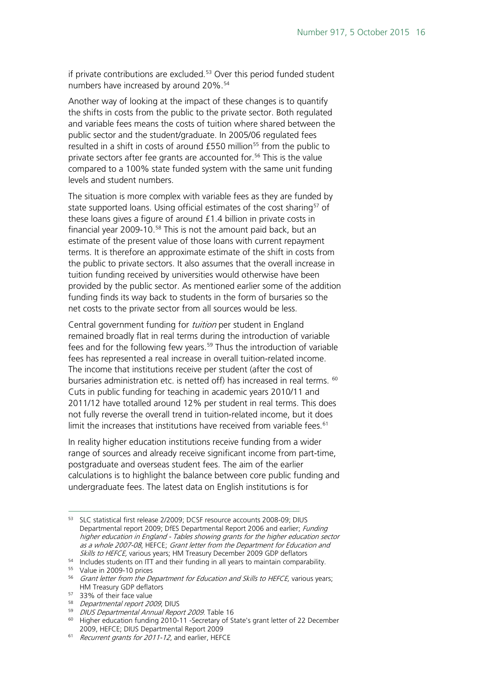if private contributions are excluded.<sup>[53](#page-15-0)</sup> Over this period funded student numbers have increased by around 20%.<sup>[54](#page-15-1)</sup>

Another way of looking at the impact of these changes is to quantify the shifts in costs from the public to the private sector. Both regulated and variable fees means the costs of tuition where shared between the public sector and the student/graduate. In 2005/06 regulated fees resulted in a shift in costs of around  $£550$  $£550$  $£550$  million<sup>55</sup> from the public to private sectors after fee grants are accounted for.<sup>[56](#page-15-3)</sup> This is the value compared to a 100% state funded system with the same unit funding levels and student numbers.

The situation is more complex with variable fees as they are funded by state supported loans. Using official estimates of the cost sharing<sup>[57](#page-15-4)</sup> of these loans gives a figure of around £1.4 billion in private costs in financial year 2009-10. $58$  This is not the amount paid back, but an estimate of the present value of those loans with current repayment terms. It is therefore an approximate estimate of the shift in costs from the public to private sectors. It also assumes that the overall increase in tuition funding received by universities would otherwise have been provided by the public sector. As mentioned earlier some of the addition funding finds its way back to students in the form of bursaries so the net costs to the private sector from all sources would be less.

Central government funding for *tuition* per student in England remained broadly flat in real terms during the introduction of variable fees and for the following few years.<sup>[59](#page-15-6)</sup> Thus the introduction of variable fees has represented a real increase in overall tuition-related income. The income that institutions receive per student (after the cost of bursaries administration etc. is netted off) has increased in real terms. <sup>[60](#page-15-7)</sup> Cuts in public funding for teaching in academic years 2010/11 and 2011/12 have totalled around 12% per student in real terms. This does not fully reverse the overall trend in tuition-related income, but it does limit the increases that institutions have received from variable fees.<sup>[61](#page-15-8)</sup>

In reality higher education institutions receive funding from a wider range of sources and already receive significant income from part-time, postgraduate and overseas student fees. The aim of the earlier calculations is to highlight the balance between core public funding and undergraduate fees. The latest data on English institutions is for

- <span id="page-15-5"></span><sup>58</sup> Departmental report 2009, DIUS
- <sup>59</sup> DIUS Departmental Annual Report 2009. Table 16

<span id="page-15-0"></span><sup>53</sup> SLC statistical first release 2/2009; DCSF resource accounts 2008-09; DIUS Departmental report 2009; DfES Departmental Report 2006 and earlier; Funding higher education in England - Tables showing grants for the higher education sector as a whole 2007-08, HEFCE; Grant letter from the Department for Education and Skills to HEFCE, various years; HM Treasury December 2009 GDP deflators

<span id="page-15-1"></span><sup>54</sup> Includes students on ITT and their funding in all years to maintain comparability.

<span id="page-15-2"></span><sup>55</sup> Value in 2009-10 prices

<span id="page-15-3"></span><sup>&</sup>lt;sup>56</sup> Grant letter from the Department for Education and Skills to HEFCE, various years; HM Treasury GDP deflators

<span id="page-15-4"></span><sup>57</sup> 33% of their face value

<span id="page-15-7"></span><span id="page-15-6"></span><sup>60</sup> Higher education funding 2010-11 -Secretary of State's grant letter of 22 December 2009, HEFCE; DIUS Departmental Report 2009

<span id="page-15-8"></span><sup>&</sup>lt;sup>61</sup> Recurrent grants for 2011-12, and earlier, HEFCE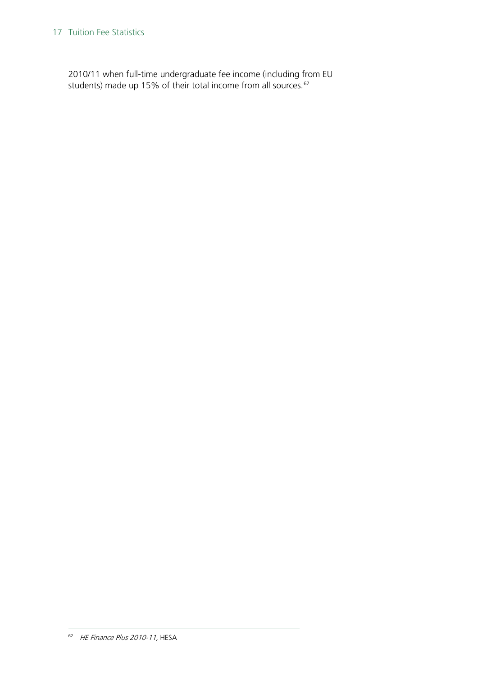#### 17 Tuition Fee Statistics

<span id="page-16-0"></span>2010/11 when full-time undergraduate fee income (including from EU students) made up 15% of their total income from all sources.<sup>[62](#page-16-0)</sup>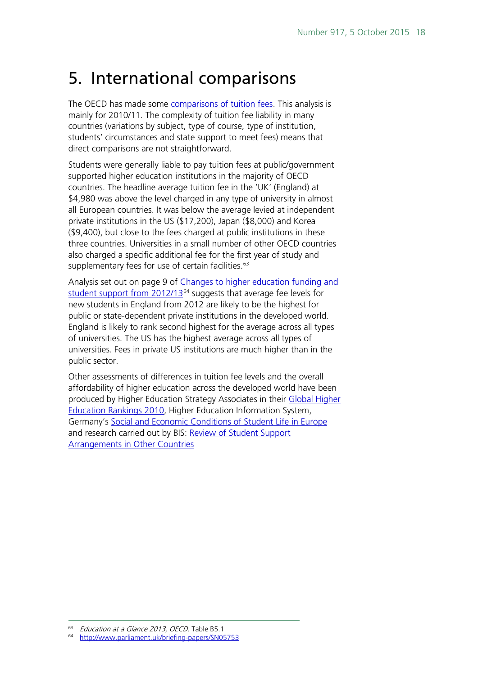## <span id="page-17-0"></span>5. International comparisons

The OECD has made some [comparisons of tuition fees.](http://dx.doi.org/10.1787/888932849901) This analysis is mainly for 2010/11. The complexity of tuition fee liability in many countries (variations by subject, type of course, type of institution, students' circumstances and state support to meet fees) means that direct comparisons are not straightforward.

Students were generally liable to pay tuition fees at public/government supported higher education institutions in the majority of OECD countries. The headline average tuition fee in the 'UK' (England) at \$4,980 was above the level charged in any type of university in almost all European countries. It was below the average levied at independent private institutions in the US (\$17,200), Japan (\$8,000) and Korea (\$9,400), but close to the fees charged at public institutions in these three countries. Universities in a small number of other OECD countries also charged a specific additional fee for the first year of study and supplementary fees for use of certain facilities.<sup>[63](#page-17-1)</sup>

Analysis set out on page 9 of [Changes to higher education funding and](http://www.parliament.uk/briefing-papers/SN05753)  [student support from 2012/13](http://www.parliament.uk/briefing-papers/SN05753)<sup>[64](#page-17-2)</sup> suggests that average fee levels for new students in England from 2012 are likely to be the highest for public or state-dependent private institutions in the developed world. England is likely to rank second highest for the average across all types of universities. The US has the highest average across all types of universities. Fees in private US institutions are much higher than in the public sector.

Other assessments of differences in tuition fee levels and the overall affordability of higher education across the developed world have been produced by Higher Education Strategy Associates in their Global Higher [Education Rankings 2010,](http://higheredstrategy.com/publications/GHER2010_FINAL.pdf) Higher Education Information System, Germany's [Social and Economic Conditions of Student Life in Europe](http://www.his.de/eurostudent/download_files/documents/Synopsis_of_Indicators_EIII.pdf) and research carried out by BIS: Review of Student Support [Arrangements in Other Countries](http://www.bis.gov.uk/assets/biscore/corporate/docs/r/10-670-review-student-support-in-other-countries)

<span id="page-17-1"></span><sup>63</sup> Education at a Glance 2013, OECD. Table B5.1

<span id="page-17-2"></span><sup>64</sup> <http://www.parliament.uk/briefing-papers/SN05753>